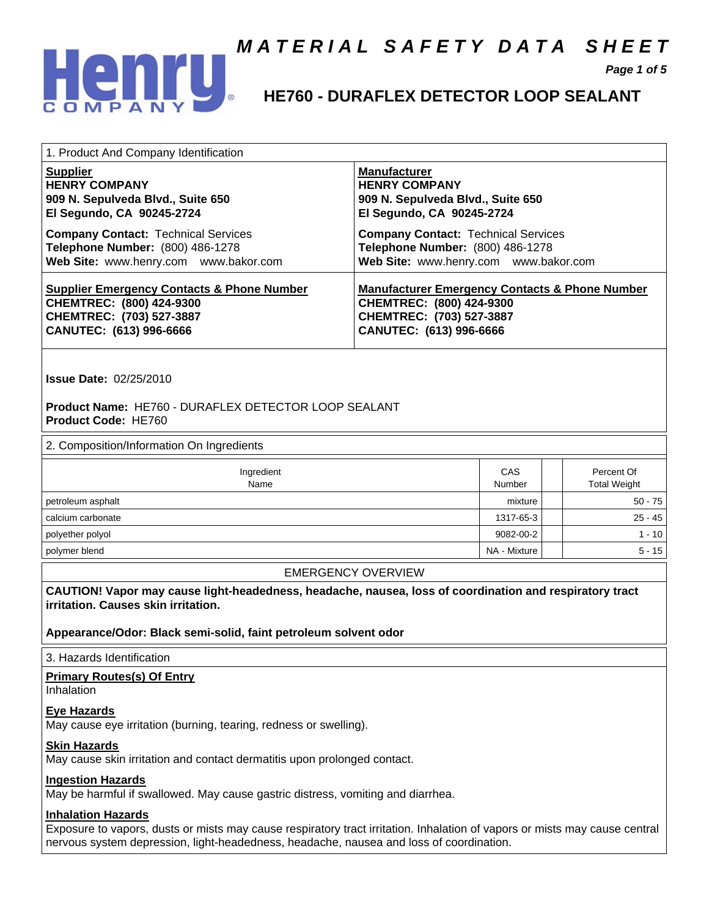

 **Page 1 of 5** 

## **HE760 - DURAFLEX DETECTOR LOOP SEALANT**

| 1. Product And Company Identification                 |                                                           |
|-------------------------------------------------------|-----------------------------------------------------------|
| <b>Supplier</b>                                       | <b>Manufacturer</b>                                       |
| <b>HENRY COMPANY</b>                                  | <b>HENRY COMPANY</b>                                      |
| 909 N. Sepulveda Blvd., Suite 650                     | 909 N. Sepulveda Blvd., Suite 650                         |
| El Segundo, CA 90245-2724                             | El Segundo, CA 90245-2724                                 |
| <b>Company Contact: Technical Services</b>            | <b>Company Contact: Technical Services</b>                |
| Telephone Number: (800) 486-1278                      | Telephone Number: (800) 486-1278                          |
| Web Site: www.henry.com www.bakor.com                 | Web Site: www.henry.com www.bakor.com                     |
| <b>Supplier Emergency Contacts &amp; Phone Number</b> | <b>Manufacturer Emergency Contacts &amp; Phone Number</b> |
| CHEMTREC: (800) 424-9300                              | CHEMTREC: (800) 424-9300                                  |
| CHEMTREC: (703) 527-3887                              | CHEMTREC: (703) 527-3887                                  |
| CANUTEC: (613) 996-6666                               | CANUTEC: (613) 996-6666                                   |

 **Issue Date:** 02/25/2010

#### **Product Name:** HE760 - DURAFLEX DETECTOR LOOP SEALANT  **Product Code:** HE760

#### 2. Composition/Information On Ingredients

| Ingredient<br>Name | CAS<br>Number | Percent Of<br><b>Total Weight</b> |
|--------------------|---------------|-----------------------------------|
| petroleum asphalt  | mixture       | $50 - 75$                         |
| calcium carbonate  | 1317-65-3     | $25 - 45$                         |
| polyether polyol   | 9082-00-2     | $1 - 10$                          |
| polymer blend      | NA - Mixture  | $5 - 15$                          |

#### EMERGENCY OVERVIEW

 **CAUTION! Vapor may cause light-headedness, headache, nausea, loss of coordination and respiratory tract irritation. Causes skin irritation.** 

 **Appearance/Odor: Black semi-solid, faint petroleum solvent odor** 

3. Hazards Identification

#### **Primary Routes(s) Of Entry**

Inhalation

 **Eye Hazards** 

May cause eye irritation (burning, tearing, redness or swelling).

#### **Skin Hazards**

May cause skin irritation and contact dermatitis upon prolonged contact.

#### **Ingestion Hazards**

May be harmful if swallowed. May cause gastric distress, vomiting and diarrhea.

#### **Inhalation Hazards**

 Exposure to vapors, dusts or mists may cause respiratory tract irritation. Inhalation of vapors or mists may cause central nervous system depression, light-headedness, headache, nausea and loss of coordination.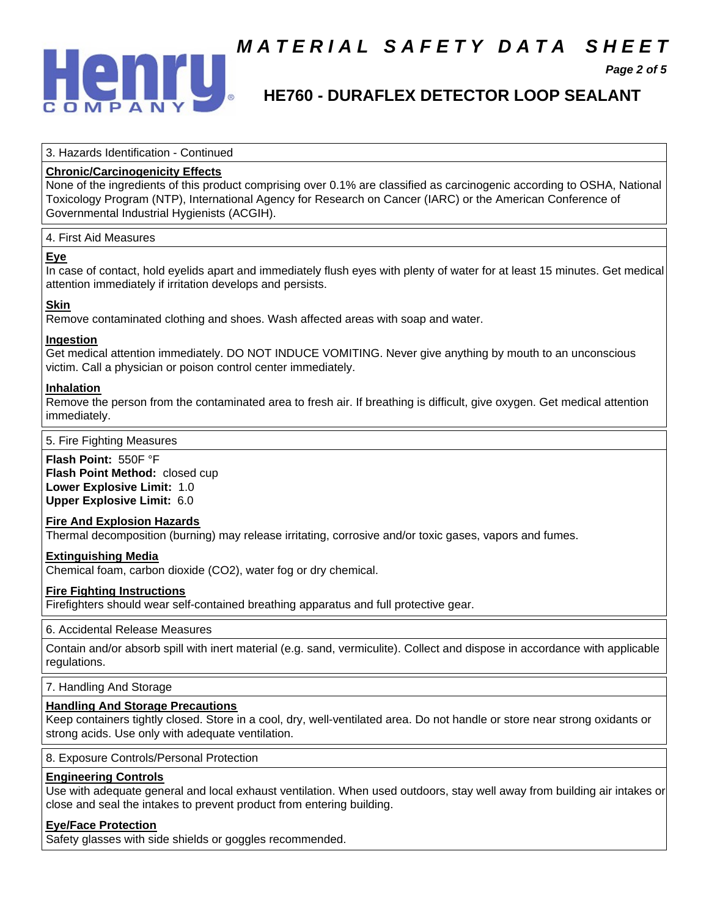

## **M A T E R I A L S A F E T Y D A T A S H E E T**

 **Page 2 of 5** 

## **HE760 - DURAFLEX DETECTOR LOOP SEALANT**

3. Hazards Identification - Continued

### **Chronic/Carcinogenicity Effects**

 None of the ingredients of this product comprising over 0.1% are classified as carcinogenic according to OSHA, National Toxicology Program (NTP), International Agency for Research on Cancer (IARC) or the American Conference of Governmental Industrial Hygienists (ACGIH).

#### 4. First Aid Measures

#### **Eye**

 In case of contact, hold eyelids apart and immediately flush eyes with plenty of water for at least 15 minutes. Get medical attention immediately if irritation develops and persists.

### **Skin**

Remove contaminated clothing and shoes. Wash affected areas with soap and water.

#### **Ingestion**

 Get medical attention immediately. DO NOT INDUCE VOMITING. Never give anything by mouth to an unconscious victim. Call a physician or poison control center immediately.

#### **Inhalation**

 Remove the person from the contaminated area to fresh air. If breathing is difficult, give oxygen. Get medical attention immediately.

#### 5. Fire Fighting Measures

 **Flash Point:** 550F °F

**Flash Point Method: closed cup Lower Explosive Limit:** 1.0  **Upper Explosive Limit:** 6.0

#### **Fire And Explosion Hazards**

Thermal decomposition (burning) may release irritating, corrosive and/or toxic gases, vapors and fumes.

#### **Extinguishing Media**

Chemical foam, carbon dioxide (CO2), water fog or dry chemical.

#### **Fire Fighting Instructions**

Firefighters should wear self-contained breathing apparatus and full protective gear.

#### 6. Accidental Release Measures

 Contain and/or absorb spill with inert material (e.g. sand, vermiculite). Collect and dispose in accordance with applicable regulations.

#### 7. Handling And Storage

#### **Handling And Storage Precautions**

 Keep containers tightly closed. Store in a cool, dry, well-ventilated area. Do not handle or store near strong oxidants or strong acids. Use only with adequate ventilation.

#### 8. Exposure Controls/Personal Protection

#### **Engineering Controls**

 Use with adequate general and local exhaust ventilation. When used outdoors, stay well away from building air intakes or close and seal the intakes to prevent product from entering building.

#### **Eye/Face Protection**

Safety glasses with side shields or goggles recommended.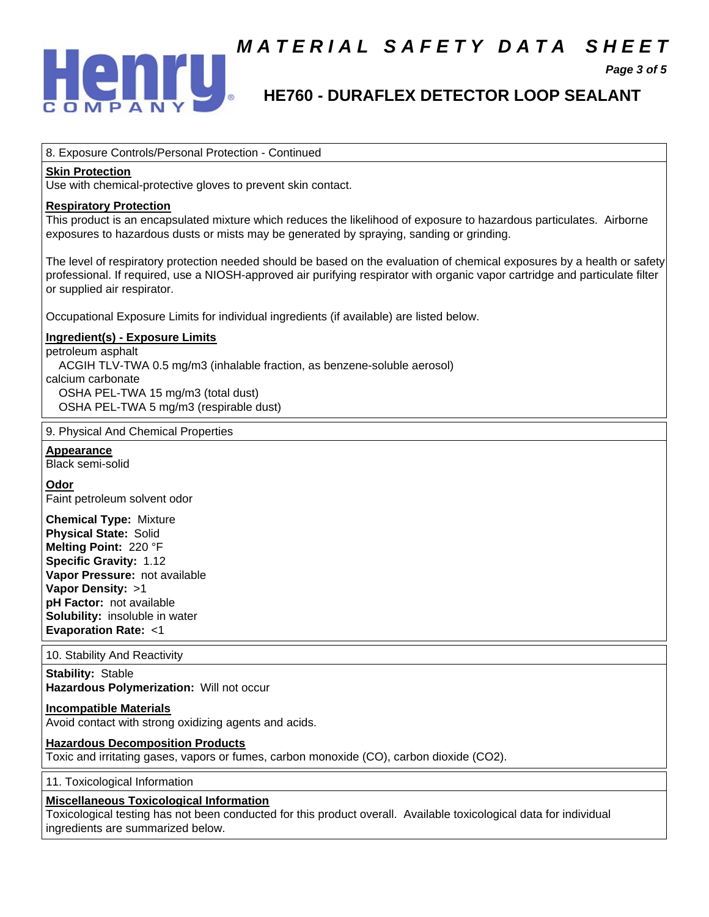

## **M A T E R I A L S A F E T Y D A T A S H E E T**

 **Page 3 of 5** 

## **HE760 - DURAFLEX DETECTOR LOOP SEALANT**

#### 8. Exposure Controls/Personal Protection - Continued

### **Skin Protection**

Use with chemical-protective gloves to prevent skin contact.

#### **Respiratory Protection**

 This product is an encapsulated mixture which reduces the likelihood of exposure to hazardous particulates. Airborne exposures to hazardous dusts or mists may be generated by spraying, sanding or grinding.

 The level of respiratory protection needed should be based on the evaluation of chemical exposures by a health or safety professional. If required, use a NIOSH-approved air purifying respirator with organic vapor cartridge and particulate filter or supplied air respirator.

Occupational Exposure Limits for individual ingredients (if available) are listed below.

#### **Ingredient(s) - Exposure Limits**

 petroleum asphalt ACGIH TLV-TWA 0.5 mg/m3 (inhalable fraction, as benzene-soluble aerosol) calcium carbonate OSHA PEL-TWA 15 mg/m3 (total dust) OSHA PEL-TWA 5 mg/m3 (respirable dust)

9. Physical And Chemical Properties

 **Appearance** 

Black semi-solid

#### **Odor**

Faint petroleum solvent odor

 **Chemical Type:** Mixture  **Physical State:** Solid  **Melting Point:** 220 °F  **Specific Gravity:** 1.12  **Vapor Pressure:** not available  **Vapor Density:** >1  **pH Factor:** not available  **Solubility:** insoluble in water  **Evaporation Rate:** <1

10. Stability And Reactivity

#### **Stability:** Stable  **Hazardous Polymerization:** Will not occur

 **Incompatible Materials** 

Avoid contact with strong oxidizing agents and acids.

#### **Hazardous Decomposition Products**

Toxic and irritating gases, vapors or fumes, carbon monoxide (CO), carbon dioxide (CO2).

11. Toxicological Information

#### **Miscellaneous Toxicological Information**

 Toxicological testing has not been conducted for this product overall. Available toxicological data for individual ingredients are summarized below.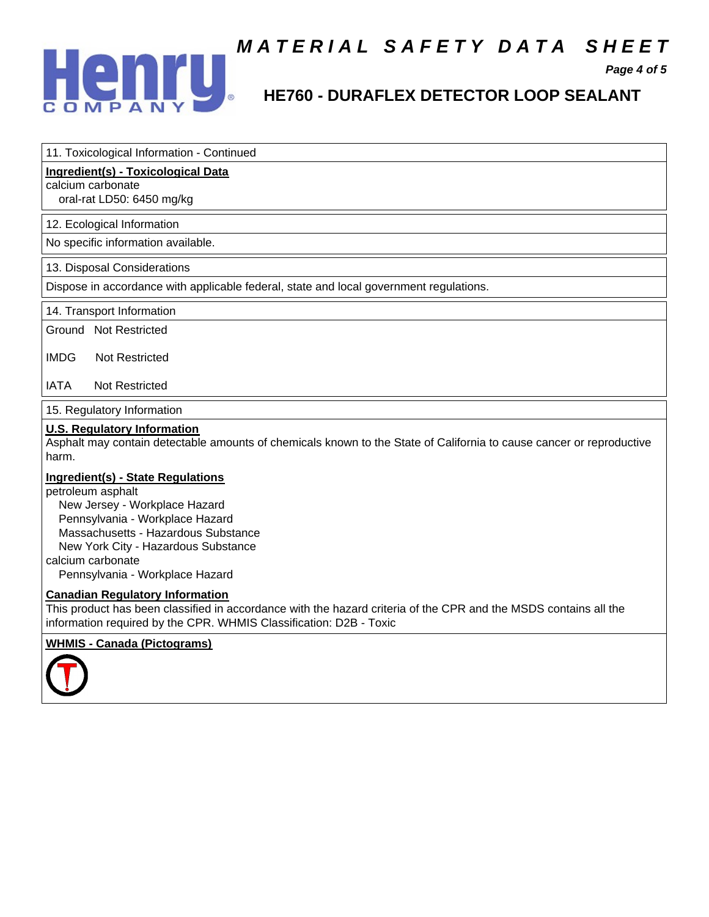

# **MATERIAL SAFETY DATA SHEET**<br>Page 4 of 5<br>HE760 - DURAFI EX DETECTOR LOOP SEALANT

 **Page 4 of 5** 

## **HE760 - DURAFLEX DETECTOR LOOP SEALANT**

| 11. Toxicological Information - Continued |  |
|-------------------------------------------|--|
|-------------------------------------------|--|

#### **Ingredient(s) - Toxicological Data**

calcium carbonate

oral-rat LD50: 6450 mg/kg

#### 12. Ecological Information

No specific information available.

#### 13. Disposal Considerations

Dispose in accordance with applicable federal, state and local government regulations.

14. Transport Information

Ground Not Restricted

IMDG Not Restricted

#### IATA Not Restricted

15. Regulatory Information

#### **U.S. Regulatory Information**

 Asphalt may contain detectable amounts of chemicals known to the State of California to cause cancer or reproductive harm.

#### **Ingredient(s) - State Regulations**

 petroleum asphalt New Jersey - Workplace Hazard Pennsylvania - Workplace Hazard Massachusetts - Hazardous Substance New York City - Hazardous Substance calcium carbonate Pennsylvania - Workplace Hazard

#### **Canadian Regulatory Information**

 This product has been classified in accordance with the hazard criteria of the CPR and the MSDS contains all the information required by the CPR. WHMIS Classification: D2B - Toxic

#### **WHMIS - Canada (Pictograms)**